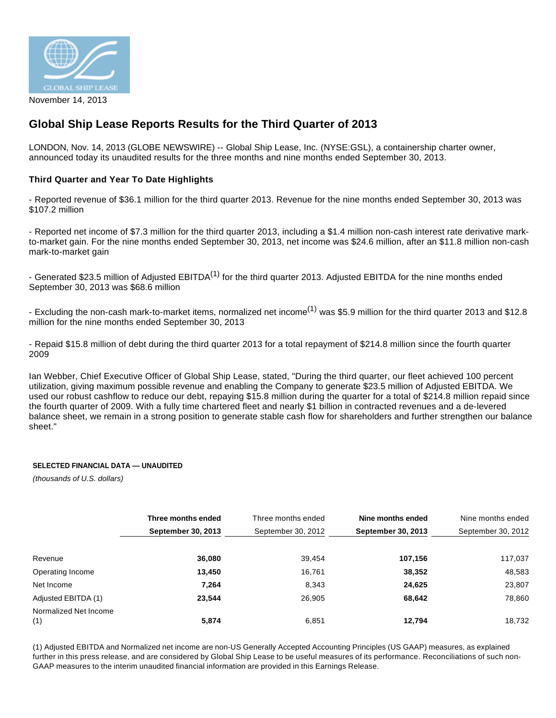

# **Global Ship Lease Reports Results for the Third Quarter of 2013**

LONDON, Nov. 14, 2013 (GLOBE NEWSWIRE) -- Global Ship Lease, Inc. (NYSE:GSL), a containership charter owner, announced today its unaudited results for the three months and nine months ended September 30, 2013.

### **Third Quarter and Year To Date Highlights**

- Reported revenue of \$36.1 million for the third quarter 2013. Revenue for the nine months ended September 30, 2013 was \$107.2 million

- Reported net income of \$7.3 million for the third quarter 2013, including a \$1.4 million non-cash interest rate derivative markto-market gain. For the nine months ended September 30, 2013, net income was \$24.6 million, after an \$11.8 million non-cash mark-to-market gain

- Generated \$23.5 million of Adjusted EBITDA<sup>(1)</sup> for the third quarter 2013. Adjusted EBITDA for the nine months ended September 30, 2013 was \$68.6 million

- Excluding the non-cash mark-to-market items, normalized net income<sup>(1)</sup> was \$5.9 million for the third quarter 2013 and \$12.8 million for the nine months ended September 30, 2013

- Repaid \$15.8 million of debt during the third quarter 2013 for a total repayment of \$214.8 million since the fourth quarter 2009

Ian Webber, Chief Executive Officer of Global Ship Lease, stated, "During the third quarter, our fleet achieved 100 percent utilization, giving maximum possible revenue and enabling the Company to generate \$23.5 million of Adjusted EBITDA. We used our robust cashflow to reduce our debt, repaying \$15.8 million during the quarter for a total of \$214.8 million repaid since the fourth quarter of 2009. With a fully time chartered fleet and nearly \$1 billion in contracted revenues and a de-levered balance sheet, we remain in a strong position to generate stable cash flow for shareholders and further strengthen our balance sheet."

#### **SELECTED FINANCIAL DATA — UNAUDITED**

(thousands of U.S. dollars)

|                              | Three months ended<br><b>September 30, 2013</b> | Three months ended<br>September 30, 2012 | Nine months ended<br><b>September 30, 2013</b> | Nine months ended<br>September 30, 2012 |
|------------------------------|-------------------------------------------------|------------------------------------------|------------------------------------------------|-----------------------------------------|
| Revenue                      | 36,080                                          | 39.454                                   | 107,156                                        | 117,037                                 |
| Operating Income             | 13.450                                          | 16,761                                   | 38,352                                         | 48,583                                  |
| Net Income                   | 7.264                                           | 8.343                                    | 24,625                                         | 23,807                                  |
| Adjusted EBITDA (1)          | 23,544                                          | 26,905                                   | 68,642                                         | 78,860                                  |
| Normalized Net Income<br>(1) | 5,874                                           | 6.851                                    | 12,794                                         | 18,732                                  |

(1) Adjusted EBITDA and Normalized net income are non-US Generally Accepted Accounting Principles (US GAAP) measures, as explained further in this press release, and are considered by Global Ship Lease to be useful measures of its performance. Reconciliations of such non-GAAP measures to the interim unaudited financial information are provided in this Earnings Release.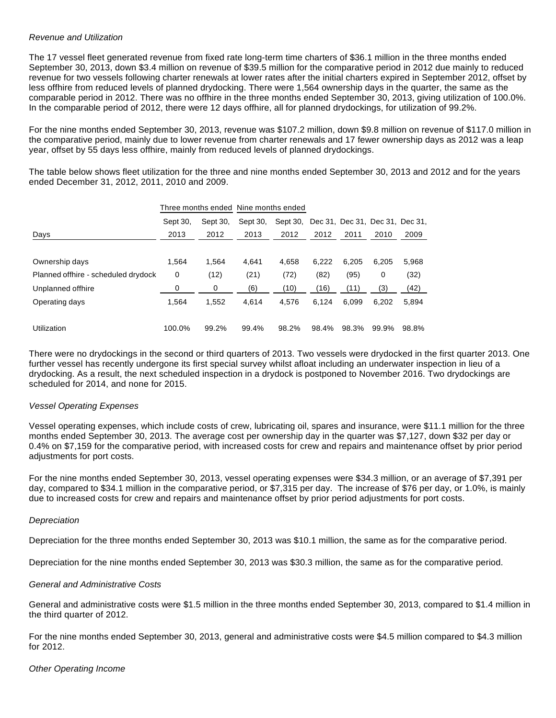### Revenue and Utilization

The 17 vessel fleet generated revenue from fixed rate long-term time charters of \$36.1 million in the three months ended September 30, 2013, down \$3.4 million on revenue of \$39.5 million for the comparative period in 2012 due mainly to reduced revenue for two vessels following charter renewals at lower rates after the initial charters expired in September 2012, offset by less offhire from reduced levels of planned drydocking. There were 1,564 ownership days in the quarter, the same as the comparable period in 2012. There was no offhire in the three months ended September 30, 2013, giving utilization of 100.0%. In the comparable period of 2012, there were 12 days offhire, all for planned drydockings, for utilization of 99.2%.

For the nine months ended September 30, 2013, revenue was \$107.2 million, down \$9.8 million on revenue of \$117.0 million in the comparative period, mainly due to lower revenue from charter renewals and 17 fewer ownership days as 2012 was a leap year, offset by 55 days less offhire, mainly from reduced levels of planned drydockings.

The table below shows fleet utilization for the three and nine months ended September 30, 2013 and 2012 and for the years ended December 31, 2012, 2011, 2010 and 2009.

| Three months ended Nine months ended |          |          |          |          |       |       |       |                                 |
|--------------------------------------|----------|----------|----------|----------|-------|-------|-------|---------------------------------|
|                                      | Sept 30, | Sept 30. | Sept 30. | Sept 30, |       |       |       | Dec 31, Dec 31, Dec 31, Dec 31, |
| Days                                 | 2013     | 2012     | 2013     | 2012     | 2012  | 2011  | 2010  | 2009                            |
|                                      |          |          |          |          |       |       |       |                                 |
| Ownership days                       | 1.564    | 1.564    | 4.641    | 4.658    | 6.222 | 6.205 | 6.205 | 5,968                           |
| Planned offhire - scheduled drydock  | 0        | (12)     | (21)     | (72)     | (82)  | (95)  | 0     | (32)                            |
| Unplanned offhire                    | 0        | 0        | (6)      | (10      | (16)  | (11)  | (3)   | (42)                            |
| Operating days                       | 1.564    | 1.552    | 4.614    | 4.576    | 6.124 | 6.099 | 6.202 | 5.894                           |
|                                      |          |          |          |          |       |       |       |                                 |
| Utilization                          | 100.0%   | 99.2%    | 99.4%    | 98.2%    | 98.4% | 98.3% | 99.9% | 98.8%                           |

There were no drydockings in the second or third quarters of 2013. Two vessels were drydocked in the first quarter 2013. One further vessel has recently undergone its first special survey whilst afloat including an underwater inspection in lieu of a drydocking. As a result, the next scheduled inspection in a drydock is postponed to November 2016. Two drydockings are scheduled for 2014, and none for 2015.

### Vessel Operating Expenses

Vessel operating expenses, which include costs of crew, lubricating oil, spares and insurance, were \$11.1 million for the three months ended September 30, 2013. The average cost per ownership day in the quarter was \$7,127, down \$32 per day or 0.4% on \$7,159 for the comparative period, with increased costs for crew and repairs and maintenance offset by prior period adjustments for port costs.

For the nine months ended September 30, 2013, vessel operating expenses were \$34.3 million, or an average of \$7,391 per day, compared to \$34.1 million in the comparative period, or \$7,315 per day. The increase of \$76 per day, or 1.0%, is mainly due to increased costs for crew and repairs and maintenance offset by prior period adjustments for port costs.

#### **Depreciation**

Depreciation for the three months ended September 30, 2013 was \$10.1 million, the same as for the comparative period.

Depreciation for the nine months ended September 30, 2013 was \$30.3 million, the same as for the comparative period.

#### General and Administrative Costs

General and administrative costs were \$1.5 million in the three months ended September 30, 2013, compared to \$1.4 million in the third quarter of 2012.

For the nine months ended September 30, 2013, general and administrative costs were \$4.5 million compared to \$4.3 million for 2012.

Other Operating Income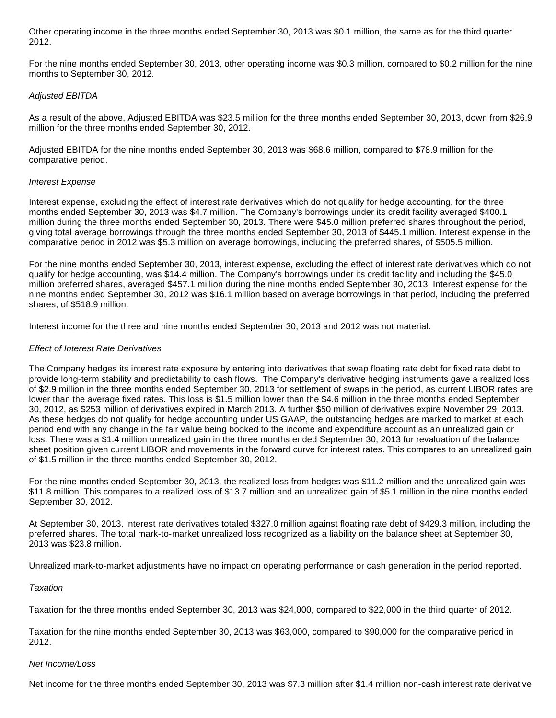Other operating income in the three months ended September 30, 2013 was \$0.1 million, the same as for the third quarter 2012.

For the nine months ended September 30, 2013, other operating income was \$0.3 million, compared to \$0.2 million for the nine months to September 30, 2012.

### Adjusted EBITDA

As a result of the above, Adjusted EBITDA was \$23.5 million for the three months ended September 30, 2013, down from \$26.9 million for the three months ended September 30, 2012.

Adjusted EBITDA for the nine months ended September 30, 2013 was \$68.6 million, compared to \$78.9 million for the comparative period.

#### Interest Expense

Interest expense, excluding the effect of interest rate derivatives which do not qualify for hedge accounting, for the three months ended September 30, 2013 was \$4.7 million. The Company's borrowings under its credit facility averaged \$400.1 million during the three months ended September 30, 2013. There were \$45.0 million preferred shares throughout the period, giving total average borrowings through the three months ended September 30, 2013 of \$445.1 million. Interest expense in the comparative period in 2012 was \$5.3 million on average borrowings, including the preferred shares, of \$505.5 million.

For the nine months ended September 30, 2013, interest expense, excluding the effect of interest rate derivatives which do not qualify for hedge accounting, was \$14.4 million. The Company's borrowings under its credit facility and including the \$45.0 million preferred shares, averaged \$457.1 million during the nine months ended September 30, 2013. Interest expense for the nine months ended September 30, 2012 was \$16.1 million based on average borrowings in that period, including the preferred shares, of \$518.9 million.

Interest income for the three and nine months ended September 30, 2013 and 2012 was not material.

### Effect of Interest Rate Derivatives

The Company hedges its interest rate exposure by entering into derivatives that swap floating rate debt for fixed rate debt to provide long-term stability and predictability to cash flows. The Company's derivative hedging instruments gave a realized loss of \$2.9 million in the three months ended September 30, 2013 for settlement of swaps in the period, as current LIBOR rates are lower than the average fixed rates. This loss is \$1.5 million lower than the \$4.6 million in the three months ended September 30, 2012, as \$253 million of derivatives expired in March 2013. A further \$50 million of derivatives expire November 29, 2013. As these hedges do not qualify for hedge accounting under US GAAP, the outstanding hedges are marked to market at each period end with any change in the fair value being booked to the income and expenditure account as an unrealized gain or loss. There was a \$1.4 million unrealized gain in the three months ended September 30, 2013 for revaluation of the balance sheet position given current LIBOR and movements in the forward curve for interest rates. This compares to an unrealized gain of \$1.5 million in the three months ended September 30, 2012.

For the nine months ended September 30, 2013, the realized loss from hedges was \$11.2 million and the unrealized gain was \$11.8 million. This compares to a realized loss of \$13.7 million and an unrealized gain of \$5.1 million in the nine months ended September 30, 2012.

At September 30, 2013, interest rate derivatives totaled \$327.0 million against floating rate debt of \$429.3 million, including the preferred shares. The total mark-to-market unrealized loss recognized as a liability on the balance sheet at September 30, 2013 was \$23.8 million.

Unrealized mark-to-market adjustments have no impact on operating performance or cash generation in the period reported.

### **Taxation**

Taxation for the three months ended September 30, 2013 was \$24,000, compared to \$22,000 in the third quarter of 2012.

Taxation for the nine months ended September 30, 2013 was \$63,000, compared to \$90,000 for the comparative period in 2012.

#### Net Income/Loss

Net income for the three months ended September 30, 2013 was \$7.3 million after \$1.4 million non-cash interest rate derivative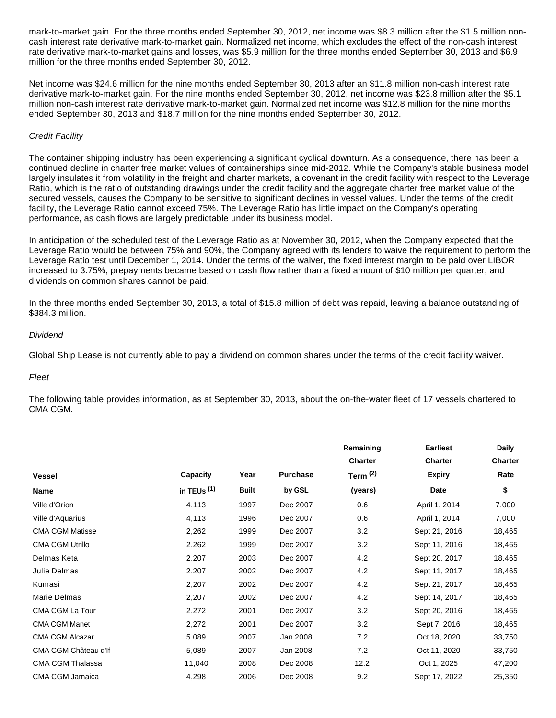mark-to-market gain. For the three months ended September 30, 2012, net income was \$8.3 million after the \$1.5 million noncash interest rate derivative mark-to-market gain. Normalized net income, which excludes the effect of the non-cash interest rate derivative mark-to-market gains and losses, was \$5.9 million for the three months ended September 30, 2013 and \$6.9 million for the three months ended September 30, 2012.

Net income was \$24.6 million for the nine months ended September 30, 2013 after an \$11.8 million non-cash interest rate derivative mark-to-market gain. For the nine months ended September 30, 2012, net income was \$23.8 million after the \$5.1 million non-cash interest rate derivative mark-to-market gain. Normalized net income was \$12.8 million for the nine months ended September 30, 2013 and \$18.7 million for the nine months ended September 30, 2012.

### Credit Facility

The container shipping industry has been experiencing a significant cyclical downturn. As a consequence, there has been a continued decline in charter free market values of containerships since mid-2012. While the Company's stable business model largely insulates it from volatility in the freight and charter markets, a covenant in the credit facility with respect to the Leverage Ratio, which is the ratio of outstanding drawings under the credit facility and the aggregate charter free market value of the secured vessels, causes the Company to be sensitive to significant declines in vessel values. Under the terms of the credit facility, the Leverage Ratio cannot exceed 75%. The Leverage Ratio has little impact on the Company's operating performance, as cash flows are largely predictable under its business model.

In anticipation of the scheduled test of the Leverage Ratio as at November 30, 2012, when the Company expected that the Leverage Ratio would be between 75% and 90%, the Company agreed with its lenders to waive the requirement to perform the Leverage Ratio test until December 1, 2014. Under the terms of the waiver, the fixed interest margin to be paid over LIBOR increased to 3.75%, prepayments became based on cash flow rather than a fixed amount of \$10 million per quarter, and dividends on common shares cannot be paid.

In the three months ended September 30, 2013, a total of \$15.8 million of debt was repaid, leaving a balance outstanding of \$384.3 million.

### **Dividend**

Global Ship Lease is not currently able to pay a dividend on common shares under the terms of the credit facility waiver.

### Fleet

The following table provides information, as at September 30, 2013, about the on-the-water fleet of 17 vessels chartered to CMA CGM.

|                        |                        |              |                 | Remaining      | <b>Earliest</b> | <b>Daily</b>   |
|------------------------|------------------------|--------------|-----------------|----------------|-----------------|----------------|
|                        |                        |              |                 | <b>Charter</b> | <b>Charter</b>  | <b>Charter</b> |
| <b>Vessel</b>          | Capacity               | Year         | <b>Purchase</b> | Term $(2)$     | <b>Expiry</b>   | Rate           |
| Name                   | in TEUs <sup>(1)</sup> | <b>Built</b> | by GSL          | (years)        | Date            | \$             |
| Ville d'Orion          | 4,113                  | 1997         | Dec 2007        | 0.6            | April 1, 2014   | 7,000          |
| Ville d'Aquarius       | 4,113                  | 1996         | Dec 2007        | 0.6            | April 1, 2014   | 7,000          |
| <b>CMA CGM Matisse</b> | 2,262                  | 1999         | Dec 2007        | 3.2            | Sept 21, 2016   | 18,465         |
| <b>CMA CGM Utrillo</b> | 2,262                  | 1999         | Dec 2007        | 3.2            | Sept 11, 2016   | 18,465         |
| Delmas Keta            | 2,207                  | 2003         | Dec 2007        | 4.2            | Sept 20, 2017   | 18,465         |
| Julie Delmas           | 2,207                  | 2002         | Dec 2007        | 4.2            | Sept 11, 2017   | 18,465         |
| Kumasi                 | 2,207                  | 2002         | Dec 2007        | 4.2            | Sept 21, 2017   | 18,465         |
| Marie Delmas           | 2,207                  | 2002         | Dec 2007        | 4.2            | Sept 14, 2017   | 18,465         |
| CMA CGM La Tour        | 2,272                  | 2001         | Dec 2007        | 3.2            | Sept 20, 2016   | 18,465         |
| <b>CMA CGM Manet</b>   | 2,272                  | 2001         | Dec 2007        | 3.2            | Sept 7, 2016    | 18,465         |
| <b>CMA CGM Alcazar</b> | 5,089                  | 2007         | Jan 2008        | 7.2            | Oct 18, 2020    | 33,750         |
| CMA CGM Château d'If   | 5,089                  | 2007         | Jan 2008        | 7.2            | Oct 11, 2020    | 33,750         |
| CMA CGM Thalassa       | 11,040                 | 2008         | Dec 2008        | 12.2           | Oct 1, 2025     | 47,200         |
| CMA CGM Jamaica        | 4,298                  | 2006         | Dec 2008        | 9.2            | Sept 17, 2022   | 25,350         |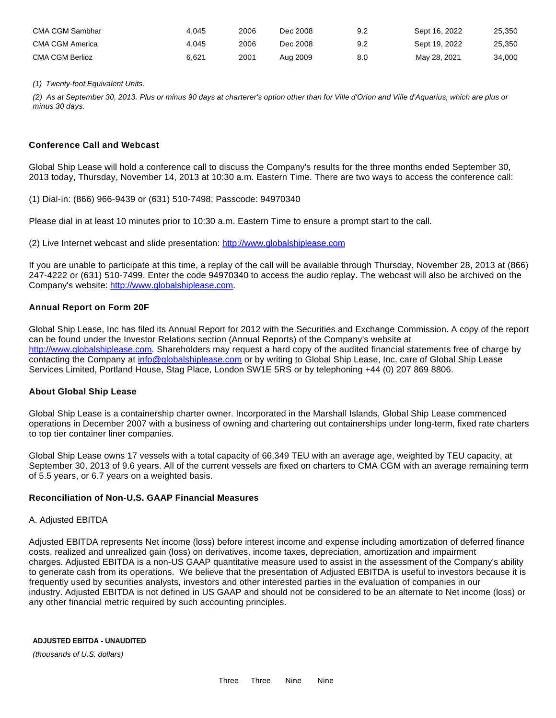| <b>CMA CGM Sambhar</b> | 4.045 | 2006 | Dec 2008 | 9.2 | Sept 16, 2022 | 25,350 |
|------------------------|-------|------|----------|-----|---------------|--------|
| <b>CMA CGM America</b> | 4.045 | 2006 | Dec 2008 | 9.2 | Sept 19, 2022 | 25,350 |
| <b>CMA CGM Berlioz</b> | 6.621 | 2001 | Aug 2009 | 8.C | May 28, 2021  | 34,000 |

#### (1) Twenty-foot Equivalent Units.

(2) As at September 30, 2013. Plus or minus 90 days at charterer's option other than for Ville d'Orion and Ville d'Aquarius, which are plus or minus 30 days.

### **Conference Call and Webcast**

Global Ship Lease will hold a conference call to discuss the Company's results for the three months ended September 30, 2013 today, Thursday, November 14, 2013 at 10:30 a.m. Eastern Time. There are two ways to access the conference call:

(1) Dial-in: (866) 966-9439 or (631) 510-7498; Passcode: 94970340

Please dial in at least 10 minutes prior to 10:30 a.m. Eastern Time to ensure a prompt start to the call.

(2) Live Internet webcast and slide presentation: [http://www.globalshiplease.com](http://www.globalshiplease.com/)

If you are unable to participate at this time, a replay of the call will be available through Thursday, November 28, 2013 at (866) 247-4222 or (631) 510-7499. Enter the code 94970340 to access the audio replay. The webcast will also be archived on the Company's website: [http://www.globalshiplease.com.](http://www.globalshiplease.com/)

### **Annual Report on Form 20F**

Global Ship Lease, Inc has filed its Annual Report for 2012 with the Securities and Exchange Commission. A copy of the report can be found under the Investor Relations section (Annual Reports) of the Company's website at [http://www.globalshiplease.com](http://www.globalshiplease.com/). Shareholders may request a hard copy of the audited financial statements free of charge by contacting the Company at [info@globalshiplease.com](http://www.globenewswire.com/newsroom/ctr?d=10057883&l=50&a=info%40globalshiplease.com&u=mailto%3Ainfo%40globalshiplease.com) or by writing to Global Ship Lease, Inc, care of Global Ship Lease Services Limited, Portland House, Stag Place, London SW1E 5RS or by telephoning +44 (0) 207 869 8806.

### **About Global Ship Lease**

Global Ship Lease is a containership charter owner. Incorporated in the Marshall Islands, Global Ship Lease commenced operations in December 2007 with a business of owning and chartering out containerships under long-term, fixed rate charters to top tier container liner companies.

Global Ship Lease owns 17 vessels with a total capacity of 66,349 TEU with an average age, weighted by TEU capacity, at September 30, 2013 of 9.6 years. All of the current vessels are fixed on charters to CMA CGM with an average remaining term of 5.5 years, or 6.7 years on a weighted basis.

### **Reconciliation of Non-U.S. GAAP Financial Measures**

#### A. Adjusted EBITDA

Adjusted EBITDA represents Net income (loss) before interest income and expense including amortization of deferred finance costs, realized and unrealized gain (loss) on derivatives, income taxes, depreciation, amortization and impairment charges. Adjusted EBITDA is a non-US GAAP quantitative measure used to assist in the assessment of the Company's ability to generate cash from its operations. We believe that the presentation of Adjusted EBITDA is useful to investors because it is frequently used by securities analysts, investors and other interested parties in the evaluation of companies in our industry. Adjusted EBITDA is not defined in US GAAP and should not be considered to be an alternate to Net income (loss) or any other financial metric required by such accounting principles.

#### **ADJUSTED EBITDA - UNAUDITED**

(thousands of U.S. dollars)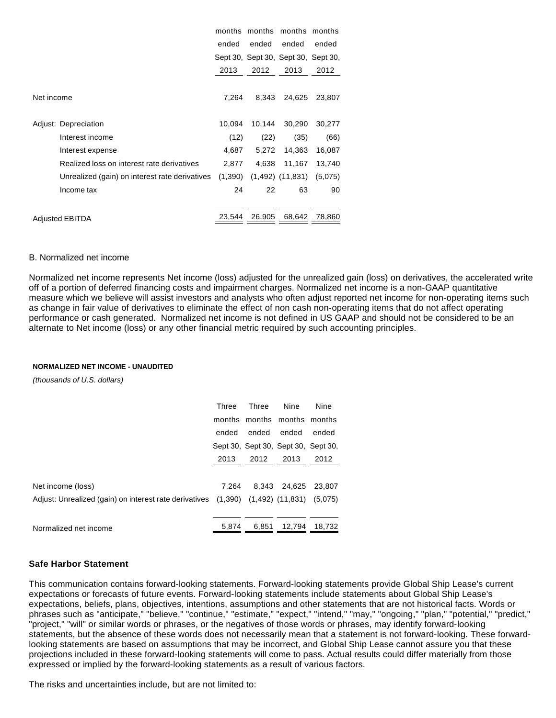|                                                | months  |                                     | months months months |         |
|------------------------------------------------|---------|-------------------------------------|----------------------|---------|
|                                                | ended   | ended                               | ended                | ended   |
|                                                |         | Sept 30, Sept 30, Sept 30, Sept 30, |                      |         |
|                                                | 2013    | 2012                                | 2013                 | 2012    |
|                                                |         |                                     |                      |         |
| Net income                                     | 7,264   | 8,343                               | 24,625               | 23,807  |
|                                                |         |                                     |                      |         |
| Adjust: Depreciation                           | 10.094  | 10,144                              | 30,290               | 30,277  |
| Interest income                                |         | (12)<br>(22)                        | (35)                 | (66)    |
| Interest expense                               | 4,687   | 5,272                               | 14,363               | 16,087  |
| Realized loss on interest rate derivatives     | 2,877   | 4.638                               | 11,167               | 13,740  |
| Unrealized (gain) on interest rate derivatives | (1,390) |                                     | $(1,492)$ $(11,831)$ | (5,075) |
| Income tax                                     |         | 24<br>22                            | 63                   | 90      |
|                                                |         |                                     |                      |         |
| <b>Adjusted EBITDA</b>                         | 23.544  | 26,905                              | 68,642               | 78,860  |

#### B. Normalized net income

Normalized net income represents Net income (loss) adjusted for the unrealized gain (loss) on derivatives, the accelerated write off of a portion of deferred financing costs and impairment charges. Normalized net income is a non-GAAP quantitative measure which we believe will assist investors and analysts who often adjust reported net income for non-operating items such as change in fair value of derivatives to eliminate the effect of non cash non-operating items that do not affect operating performance or cash generated. Normalized net income is not defined in US GAAP and should not be considered to be an alternate to Net income (loss) or any other financial metric required by such accounting principles.

#### **NORMALIZED NET INCOME - UNAUDITED**

(thousands of U.S. dollars)

|                                                                                 | Three | Three | Nine                                | Nine    |
|---------------------------------------------------------------------------------|-------|-------|-------------------------------------|---------|
|                                                                                 |       |       | months months months months         |         |
|                                                                                 | ended | ended | ended                               | ended   |
|                                                                                 |       |       | Sept 30, Sept 30, Sept 30, Sept 30, |         |
|                                                                                 | 2013  | 2012  | 2013                                | 2012    |
|                                                                                 |       |       |                                     |         |
| Net income (loss)                                                               | 7.264 |       | 8.343 24.625                        | 23.807  |
| Adjust: Unrealized (gain) on interest rate derivatives (1,390) (1,492) (11,831) |       |       |                                     | (5,075) |
|                                                                                 |       |       |                                     |         |
| Normalized net income                                                           | 5,874 | 6,851 | 12,794                              | 18,732  |

#### **Safe Harbor Statement**

This communication contains forward-looking statements. Forward-looking statements provide Global Ship Lease's current expectations or forecasts of future events. Forward-looking statements include statements about Global Ship Lease's expectations, beliefs, plans, objectives, intentions, assumptions and other statements that are not historical facts. Words or phrases such as "anticipate," "believe," "continue," "estimate," "expect," "intend," "may," "ongoing," "plan," "potential," "predict," "project," "will" or similar words or phrases, or the negatives of those words or phrases, may identify forward-looking statements, but the absence of these words does not necessarily mean that a statement is not forward-looking. These forwardlooking statements are based on assumptions that may be incorrect, and Global Ship Lease cannot assure you that these projections included in these forward-looking statements will come to pass. Actual results could differ materially from those expressed or implied by the forward-looking statements as a result of various factors.

The risks and uncertainties include, but are not limited to: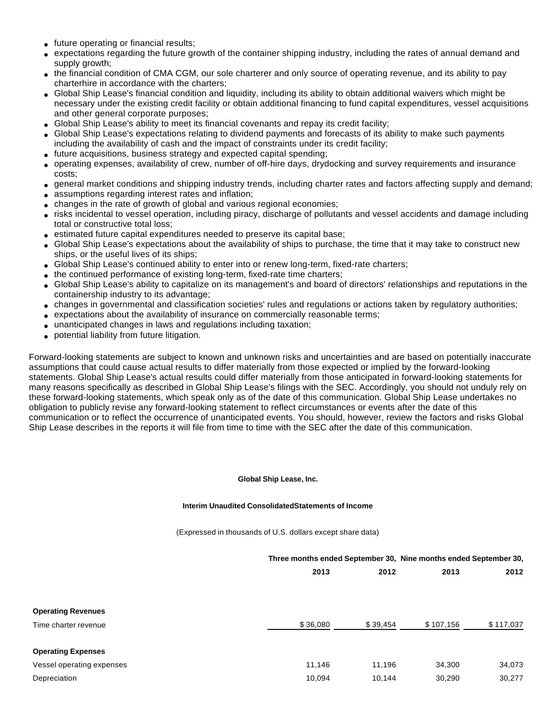- future operating or financial results:
- expectations regarding the future growth of the container shipping industry, including the rates of annual demand and supply growth;
- the financial condition of CMA CGM, our sole charterer and only source of operating revenue, and its ability to pay charterhire in accordance with the charters;
- Global Ship Lease's financial condition and liquidity, including its ability to obtain additional waivers which might be necessary under the existing credit facility or obtain additional financing to fund capital expenditures, vessel acquisitions and other general corporate purposes;
- Global Ship Lease's ability to meet its financial covenants and repay its credit facility;
- Global Ship Lease's expectations relating to dividend payments and forecasts of its ability to make such payments including the availability of cash and the impact of constraints under its credit facility;
- future acquisitions, business strategy and expected capital spending;
- operating expenses, availability of crew, number of off-hire days, drydocking and survey requirements and insurance costs;
- general market conditions and shipping industry trends, including charter rates and factors affecting supply and demand;
- assumptions regarding interest rates and inflation;
- changes in the rate of growth of global and various regional economies;
- risks incidental to vessel operation, including piracy, discharge of pollutants and vessel accidents and damage including total or constructive total loss;
- estimated future capital expenditures needed to preserve its capital base;
- Global Ship Lease's expectations about the availability of ships to purchase, the time that it may take to construct new ships, or the useful lives of its ships;
- Global Ship Lease's continued ability to enter into or renew long-term, fixed-rate charters;
- the continued performance of existing long-term, fixed-rate time charters;
- Global Ship Lease's ability to capitalize on its management's and board of directors' relationships and reputations in the containership industry to its advantage;
- changes in governmental and classification societies' rules and regulations or actions taken by regulatory authorities;
- expectations about the availability of insurance on commercially reasonable terms;
- unanticipated changes in laws and regulations including taxation;
- potential liability from future litigation.

Forward-looking statements are subject to known and unknown risks and uncertainties and are based on potentially inaccurate assumptions that could cause actual results to differ materially from those expected or implied by the forward-looking statements. Global Ship Lease's actual results could differ materially from those anticipated in forward-looking statements for many reasons specifically as described in Global Ship Lease's filings with the SEC. Accordingly, you should not unduly rely on these forward-looking statements, which speak only as of the date of this communication. Global Ship Lease undertakes no obligation to publicly revise any forward-looking statement to reflect circumstances or events after the date of this communication or to reflect the occurrence of unanticipated events. You should, however, review the factors and risks Global Ship Lease describes in the reports it will file from time to time with the SEC after the date of this communication.

#### **Global Ship Lease, Inc.**

#### **Interim Unaudited ConsolidatedStatements of Income**

(Expressed in thousands of U.S. dollars except share data)

|                           | Three months ended September 30, Nine months ended September 30, |          |           |           |
|---------------------------|------------------------------------------------------------------|----------|-----------|-----------|
|                           | 2013                                                             | 2012     | 2013      | 2012      |
| <b>Operating Revenues</b> |                                                                  |          |           |           |
| Time charter revenue      | \$36,080                                                         | \$39,454 | \$107,156 | \$117,037 |
| <b>Operating Expenses</b> |                                                                  |          |           |           |
| Vessel operating expenses | 11.146                                                           | 11,196   | 34,300    | 34,073    |
| Depreciation              | 10,094                                                           | 10,144   | 30,290    | 30,277    |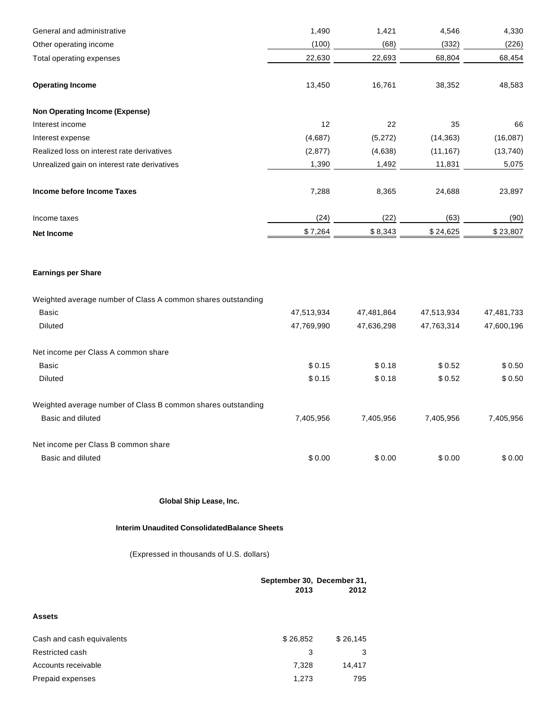| General and administrative                   | 1,490    | 1,421   | 4,546     | 4,330     |
|----------------------------------------------|----------|---------|-----------|-----------|
| Other operating income                       | (100)    | (68)    | (332)     | (226)     |
| Total operating expenses                     | 22,630   | 22,693  | 68,804    | 68,454    |
| <b>Operating Income</b>                      | 13,450   | 16,761  | 38,352    | 48,583    |
| <b>Non Operating Income (Expense)</b>        |          |         |           |           |
| Interest income                              | 12       | 22      | 35        | 66        |
| Interest expense                             | (4,687)  | (5,272) | (14, 363) | (16,087)  |
| Realized loss on interest rate derivatives   | (2, 877) | (4,638) | (11, 167) | (13, 740) |
| Unrealized gain on interest rate derivatives | 1,390    | 1,492   | 11,831    | 5,075     |
| Income before Income Taxes                   | 7,288    | 8,365   | 24,688    | 23,897    |
| Income taxes                                 | (24)     | (22)    | (63)      | (90)      |
| <b>Net Income</b>                            | \$7,264  | \$8,343 | \$24,625  | \$23,807  |
|                                              |          |         |           |           |
| <b>Earnings per Share</b>                    |          |         |           |           |
|                                              |          |         |           |           |

| Weighted average number of Class A common shares outstanding |            |            |            |            |
|--------------------------------------------------------------|------------|------------|------------|------------|
| Basic                                                        | 47,513,934 | 47,481,864 | 47,513,934 | 47,481,733 |
| <b>Diluted</b>                                               | 47,769,990 | 47,636,298 | 47,763,314 | 47,600,196 |
| Net income per Class A common share                          |            |            |            |            |
| Basic                                                        | \$0.15     | \$0.18     | \$0.52     | \$0.50     |
| <b>Diluted</b>                                               | \$0.15     | \$0.18     | \$0.52     | \$0.50     |
| Weighted average number of Class B common shares outstanding |            |            |            |            |
| Basic and diluted                                            | 7,405,956  | 7,405,956  | 7,405,956  | 7,405,956  |
| Net income per Class B common share                          |            |            |            |            |
| Basic and diluted                                            | \$0.00     | \$0.00     | \$0.00     | \$0.00     |

### **Global Ship Lease, Inc.**

### **Interim Unaudited ConsolidatedBalance Sheets**

(Expressed in thousands of U.S. dollars)

| September 30, December 31, |      |
|----------------------------|------|
| 2013                       | 2012 |

#### **Assets**

| Cash and cash equivalents | \$26.852 | \$26.145 |
|---------------------------|----------|----------|
| Restricted cash           |          |          |
| Accounts receivable       | 7.328    | 14.417   |
| Prepaid expenses          | 1.273    | 795      |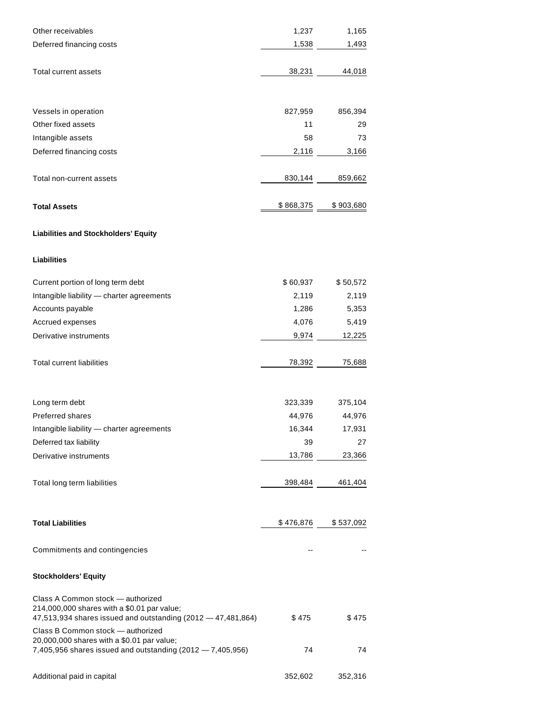| Other receivables                                                               | 1,237     | 1,165     |
|---------------------------------------------------------------------------------|-----------|-----------|
| Deferred financing costs                                                        | 1,538     | 1,493     |
|                                                                                 |           |           |
| Total current assets                                                            | 38,231    | 44,018    |
|                                                                                 |           |           |
|                                                                                 |           |           |
| Vessels in operation                                                            | 827,959   | 856,394   |
| Other fixed assets                                                              | 11        | 29        |
| Intangible assets                                                               | 58        | 73        |
| Deferred financing costs                                                        | 2,116     | 3,166     |
|                                                                                 |           |           |
| Total non-current assets                                                        | 830,144   | 859,662   |
| <b>Total Assets</b>                                                             | \$868,375 | \$903,680 |
| <b>Liabilities and Stockholders' Equity</b>                                     |           |           |
|                                                                                 |           |           |
| <b>Liabilities</b>                                                              |           |           |
| Current portion of long term debt                                               | \$60,937  | \$50,572  |
| Intangible liability - charter agreements                                       | 2,119     | 2,119     |
| Accounts payable                                                                | 1,286     | 5,353     |
| Accrued expenses                                                                | 4,076     | 5,419     |
| Derivative instruments                                                          | 9,974     | 12,225    |
|                                                                                 |           |           |
| <b>Total current liabilities</b>                                                | 78,392    | 75,688    |
|                                                                                 |           |           |
| Long term debt                                                                  | 323,339   | 375,104   |
| <b>Preferred shares</b>                                                         | 44,976    | 44,976    |
| Intangible liability - charter agreements                                       | 16,344    | 17,931    |
| Deferred tax liability                                                          | 39        | 27        |
| Derivative instruments                                                          | 13,786    | 23,366    |
|                                                                                 |           |           |
| Total long term liabilities                                                     | 398,484   | 461,404   |
|                                                                                 |           |           |
|                                                                                 |           |           |
| <b>Total Liabilities</b>                                                        | \$476,876 | \$537,092 |
| Commitments and contingencies                                                   |           |           |
|                                                                                 |           |           |
| <b>Stockholders' Equity</b>                                                     |           |           |
| Class A Common stock - authorized                                               |           |           |
| 214,000,000 shares with a \$0.01 par value;                                     |           |           |
| 47,513,934 shares issued and outstanding (2012 - 47,481,864)                    | \$475     | \$475     |
| Class B Common stock - authorized<br>20,000,000 shares with a \$0.01 par value; |           |           |
| 7,405,956 shares issued and outstanding $(2012 - 7,405,956)$                    | 74        | 74        |
|                                                                                 |           |           |
| Additional paid in capital                                                      | 352,602   | 352,316   |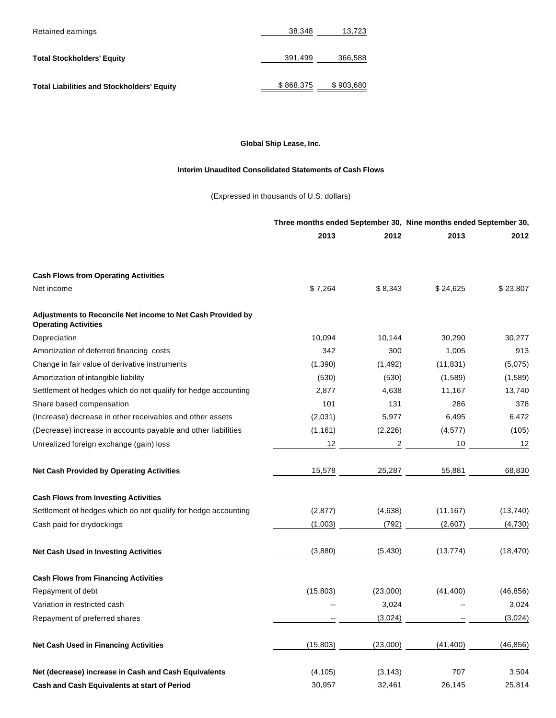| Retained earnings                                 | 38.348    | 13,723    |  |
|---------------------------------------------------|-----------|-----------|--|
| <b>Total Stockholders' Equity</b>                 | 391.499   | 366,588   |  |
| <b>Total Liabilities and Stockholders' Equity</b> | \$868,375 | \$903,680 |  |

## **Global Ship Lease, Inc.**

### **Interim Unaudited Consolidated Statements of Cash Flows**

(Expressed in thousands of U.S. dollars)

|                                                                                            | Three months ended September 30, Nine months ended September 30, |          |           |           |
|--------------------------------------------------------------------------------------------|------------------------------------------------------------------|----------|-----------|-----------|
|                                                                                            | 2013                                                             | 2012     | 2013      | 2012      |
| <b>Cash Flows from Operating Activities</b>                                                |                                                                  |          |           |           |
| Net income                                                                                 | \$7,264                                                          | \$8,343  | \$24,625  | \$23,807  |
| Adjustments to Reconcile Net income to Net Cash Provided by<br><b>Operating Activities</b> |                                                                  |          |           |           |
| Depreciation                                                                               | 10,094                                                           | 10,144   | 30,290    | 30,277    |
| Amortization of deferred financing costs                                                   | 342                                                              | 300      | 1,005     | 913       |
| Change in fair value of derivative instruments                                             | (1, 390)                                                         | (1, 492) | (11, 831) | (5,075)   |
| Amortization of intangible liability                                                       | (530)                                                            | (530)    | (1,589)   | (1,589)   |
| Settlement of hedges which do not qualify for hedge accounting                             | 2,877                                                            | 4,638    | 11,167    | 13,740    |
| Share based compensation                                                                   | 101                                                              | 131      | 286       | 378       |
| (Increase) decrease in other receivables and other assets                                  | (2,031)                                                          | 5,977    | 6,495     | 6,472     |
| (Decrease) increase in accounts payable and other liabilities                              | (1, 161)                                                         | (2, 226) | (4, 577)  | (105)     |
| Unrealized foreign exchange (gain) loss                                                    | 12                                                               | 2        | 10        | 12        |
| <b>Net Cash Provided by Operating Activities</b>                                           | 15,578                                                           | 25,287   | 55,881    | 68,830    |
| <b>Cash Flows from Investing Activities</b>                                                |                                                                  |          |           |           |
| Settlement of hedges which do not qualify for hedge accounting                             | (2, 877)                                                         | (4,638)  | (11, 167) | (13, 740) |
| Cash paid for drydockings                                                                  | (1,003)                                                          | (792)    | (2,607)   | (4,730)   |
| <b>Net Cash Used in Investing Activities</b>                                               | (3,880)                                                          | (5, 430) | (13,774)  | (18, 470) |
| <b>Cash Flows from Financing Activities</b>                                                |                                                                  |          |           |           |
| Repayment of debt                                                                          | (15,803)                                                         | (23,000) | (41, 400) | (46, 856) |
| Variation in restricted cash                                                               |                                                                  | 3,024    |           | 3,024     |
| Repayment of preferred shares                                                              |                                                                  | (3,024)  |           | (3,024)   |
| <b>Net Cash Used in Financing Activities</b>                                               | (15, 803)                                                        | (23,000) | (41, 400) | (46, 856) |
| Net (decrease) increase in Cash and Cash Equivalents                                       | (4, 105)                                                         | (3, 143) | 707       | 3,504     |
| Cash and Cash Equivalents at start of Period                                               | 30,957                                                           | 32,461   | 26,145    | 25,814    |